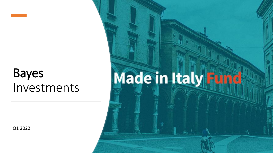# Bayes Investments

Q1 2022

# Made in Italy Hund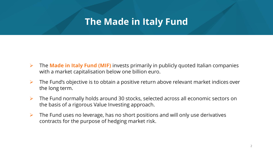## **The Made in Italy Fund**

- ➢ The **Made in Italy Fund (MIF)** invests primarily in publicly quoted Italian companies with a market capitalisation below one billion euro.
- $\triangleright$  The Fund's objective is to obtain a positive return above relevant market indices over the long term.
- ➢ The Fund normally holds around 30 stocks, selected across all economic sectors on the basis of a rigorous Value Investing approach.
- $\triangleright$  The Fund uses no leverage, has no short positions and will only use derivatives contracts for the purpose of hedging market risk.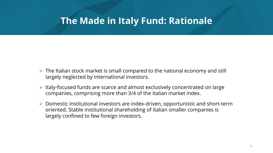## **The Made in Italy Fund: Rationale**

- $\triangleright$  The Italian stock market is small compared to the national economy and still largely neglected by international investors.
- ➢ Italy-focused funds are scarce and almost exclusively concentrated on large companies, comprising more than 3/4 of the Italian market index.
- ➢ Domestic institutional investors are index-driven, opportunistic and short-term oriented. Stable institutional shareholding of Italian smaller companies is largely confined to few foreign investors.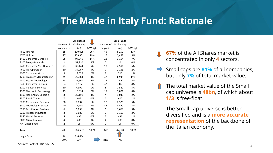## **The Made in Italy Fund: Rationale**

|                             |                | <b>All Shares</b> |          |                | <b>Small Caps</b> |          |
|-----------------------------|----------------|-------------------|----------|----------------|-------------------|----------|
|                             | Number of      | Market cap        |          | Number of      | Market cap        |          |
|                             | companies      | (m)               | % Weight | companies      | (m)               | % Weight |
| 4800 Finance                | 65             | 170,025           | 26%      | 45             | 8,292             | 17%      |
| 4700 Utilities              | 27             | 129,301           | 19%      | 16             | 2,483             | 5%       |
| 1400 Consumer Durables      | 28             | 94,045            | 14%      | 21             | 3,154             | 7%       |
| 2100 Energy Minerals        | $\overline{2}$ | 51,310            | 8%       | $\Omega$       | $\Omega$          | 0%       |
| 2400 Consumer Non-Durables  | 23             | 35,144            | 5%       | 17             | 2,596             | 5%       |
| 4600 Transportation         | 10             | 34,967            | 5%       | 7              | 1,153             | 2%       |
| 4900 Communications         | 9              | 14,529            | 2%       | 7              | 513               | 1%       |
| 1200 Producer Manufacturing | 45             | 29,384            | 4%       | 37             | 6,945             | 14%      |
| 2300 Health Technology      | 18             | 25,640            | 4%       | 15             | 2,487             | 5%       |
| 3400 Consumer Services      | 34             | 8,117             | 1%       | 32             | 3,869             | 8%       |
| 3100 Industrial Services    | 10             | 4,392             | 1%       | 8              | 1,560             | 3%       |
| 1300 Electronic Technology  | 19             | 10,614            | 2%       | 17             | 3,891             | 8%       |
| 1100 Non-Energy Minerals    | 8              | 25,191            | 4%       | 4              | 1,049             | 2%       |
| 3500 Retail Trade           | 7              | 602               | 0%       | $\overline{7}$ | 602               | 1%       |
| 3200 Commercial Services    | 30             | 8,032             | 1%       | 28             | 2,325             | 5%       |
| 3300 Technology Services    | 40             | 17,230            | 3%       | 38             | 3,520             | 7%       |
| 3250 Distribution Services  | 6              | 1,659             | 0%       | 6              | 1,659             | 3%       |
| 2200 Process Industries     | 8              | 3,687             | 1%       | 6              | 1,109             | 2%       |
| 3350 Health Services        | 5              | 496               | 0%       | 5              | 496               | 1%       |
| 6000 Miscellaneous          | 4              | 205               | 0%       | 4              | 205               | 0%       |
| NA [Unassigned]             | $\overline{2}$ | 28                | 0%       | $\overline{2}$ | 28                | 0%       |
| Total                       | 400            | 664,597           | 100%     | 322            | 47,934            | 100%     |
| Large Caps                  | 78             | 616,664           |          |                |                   |          |
|                             | 20%            | 93%               |          | 81%            | 7%                |          |

**67%** of the All Shares market is concentrated in only **4** sectors.

Small caps are **81%** of all companies, but only **7%** of total market value.

The total market value of the Small cap universe is **48bn**, of which about **1/3** is free-float.

The Small cap universe is better diversified and is a **more accurate representation** of the backbone of the Italian economy.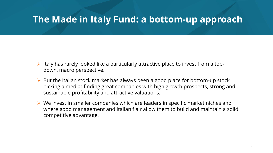## **The Made in Italy Fund: a bottom-up approach**

- $\triangleright$  Italy has rarely looked like a particularly attractive place to invest from a topdown, macro perspective.
- ➢ But the Italian stock market has always been a good place for bottom-up stock picking aimed at finding great companies with high growth prospects, strong and sustainable profitability and attractive valuations.
- $\triangleright$  We invest in smaller companies which are leaders in specific market niches and where good management and Italian flair allow them to build and maintain a solid competitive advantage.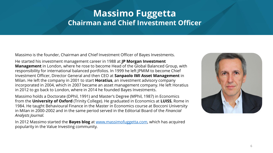## **Massimo Fuggetta Chairman and Chief Investment Officer**

Massimo is the founder, Chairman and Chief Investment Officer of Bayes Investments.

He started his investment management career in 1988 at **JP Morgan Investment Management** in London, where he rose to become Head of the Global Balanced Group, with responsibility for international balanced portfolios. In 1999 he left JPMIM to become Chief Investment Officer, Director General and then CEO at **Sanpaolo IMI Asset Management** in Milan. He left the company in 2001 to start **Horatius**, an investment advisory company incorporated in 2004, which in 2007 became an asset management company. He left Horatius in 2012 to go back to London, where in 2014 he founded Bayes Investments.

Massimo holds a Doctorate (DPhil, 1991) and Master's Degree (MPhil, 1987) in Economics from the **University of Oxford** (Trinity College). He graduated in Economics at **LUISS**, Rome in 1984. He taught Behavioural Finance in the Master in Economics course at Bocconi University in Milan in 2000-2002 and in the same period served in the Editorial Board of the *Financial Analysts Journal.*

In 2012 Massimo started the **Bayes blog** at [www.massimofuggetta.com](http://www.massimofuggetta.com/), which has acquired popularity in the Value Investing community.

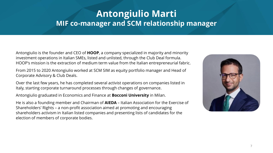## **Antongiulio Marti MIF co-manager and SCM relationship manager**

Antongiulio is the founder and CEO of **HOOP**, a company specialized in majority and minority investment operations in Italian SMEs, listed and unlisted, through the Club Deal formula. HOOP's mission is the extraction of medium term value from the Italian entrepreneurial fabric.

From 2015 to 2020 Antongiulio worked at SCM SIM as equity portfolio manager and Head of Corporate Advisory & Club Deals.

Over the last few years, he has completed several activist operations on companies listed in Italy, starting corporate turnaround processes through changes of governance.

Antongiulio graduated in Economics and Finance at **Bocconi University** in Milan.

He is also a founding member and Chairman of **AIEDA** – Italian Association for the Exercise of Shareholders' Rights – a non-profit association aimed at promoting and encouraging shareholders activism in Italian listed companies and presenting lists of candidates for the election of members of corporate bodies.

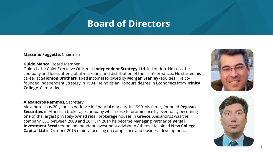## **Board of Directors**

**Massimo Fuggetta**, Chairman

#### **Guido Manca**, Board Member

Guido is the Chief Executive Officer at **Independent Strategy Ltd.** in London. He runs the company and looks after global marketing and distribution of the firm's products. He started his career at **Salomon Brothers** (fixed income) followed by **Morgan Stanley** (equities). He cofounded Independent Strategy in 1994. He holds an Honours degree in Economics from **Trinity College**, Cambridge.

#### **Alexandros Rammos**, Secretary

Alexandros has 20 years experience in financial markets. In 1990, his family founded **Pegasus Securities** in Athens, a brokerage company which rose to prominence by eventually becoming one of the largest privately-owned retail brokerage houses in Greece. Alexandros was the company CEO between 2009 and 2011. In 2014 he became Managing Partner of **Versal Investment Services**, an independent investment advisor in Athens. He joined **New College Capital Ltd** in October 2015 mainly focusing on compliance and business development.



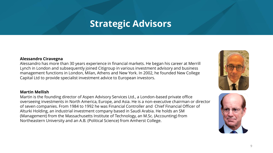## **Strategic Advisors**

#### **Alessandro Ciravegna**

Alessandro has more than 30 years experience in financial markets. He began his career at Merrill Lynch in London and subsequently joined Citigroup in various investment advisory and business management functions in London, Milan, Athens and New York. In 2002, he founded New College Capital Ltd to provide specialist investment advice to European investors.

#### **Martin Mellish**

Martin is the founding director of Aspen Advisory Services Ltd., a London-based private office overseeing investments in North America, Europe, and Asia. He is a non-executive chairman or director of seven companies. From 1984 to 1992 he was Financial Controller and Chief Financial Officer of Alturki Holding, an industrial investment company based in Saudi Arabia. He holds an SM (Management) from the Massachusetts Institute of Technology, an M.Sc. (Accounting) from Northeastern University and an A.B. (Political Science) from Amherst College.



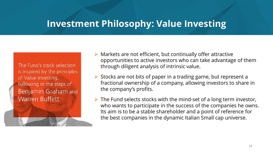## **Investment Philosophy: Value Investing**

The Fund's stock selection is inspired by the principles of Value Investing, following in the steps of **Benjamin Graham and Warren Buffett.** 

- $\triangleright$  Markets are not efficient, but continually offer attractive opportunities to active investors who can take advantage of them through diligent analysis of intrinsic value.
- ➢ Stocks are not bits of paper in a trading game, but represent a fractional ownership of a company, allowing investors to share in the company's profits.
- $\triangleright$  The Fund selects stocks with the mind-set of a long term investor, who wants to participate in the success of the companies he owns. Its aim is to be a stable shareholder and a point of reference for the best companies in the dynamic Italian Small cap universe.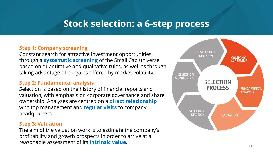## **Stock selection: a 6-step process**

#### **Step 1: Company screening**

Constant search for attractive investment opportunities, through a **systematic screening** of the Small Cap universe based on quantitative and qualitative rules, as well as through taking advantage of bargains offered by market volatility.

#### **Step 2: Fundamental analysis**

Selection is based on the history of financial reports and valuation, with emphasis on corporate governance and share ownership. Analyses are centred on a **direct relationship**  with top management and **regular visits** to company headquarters.

#### **Step 3: Valuation**

The aim of the valuation work is to estimate the company's profitability and growth prospects in order to arrive at a reasonable assessment of its **intrinsic value**.

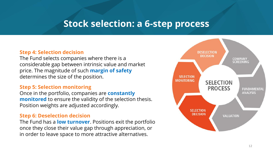## **Stock selection: a 6-step process**

#### **Step 4: Selection decision**

The Fund selects companies where there is a considerable gap between intrinsic value and market price. The magnitude of such **margin of safety**  determines the size of the position.

#### **Step 5: Selection monitoring**

Once in the portfolio, companies are **constantly monitored** to ensure the validity of the selection thesis. Position weights are adjusted accordingly.

#### **Step 6: Deselection decision**

The Fund has a **low turnover**. Positions exit the portfolio once they close their value gap through appreciation, or in order to leave space to more attractive alternatives.

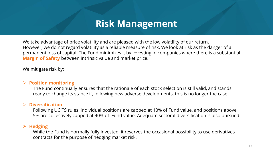## **Risk Management**

We take advantage of price volatility and are pleased with the low volatility of our return. However, we do not regard volatility as a reliable measure of risk. We look at risk as the danger of a permanent loss of capital. The Fund minimizes it by investing in companies where there is a substantial **Margin of Safety** between intrinsic value and market price.

We mitigate risk by:

#### ➢ **Position monitoring**

The Fund continually ensures that the rationale of each stock selection is still valid, and stands ready to change its stance if, following new adverse developments, this is no longer the case.

#### ➢ **Diversification**

Following UCITS rules, individual positions are capped at 10% of Fund value, and positions above 5% are collectively capped at 40% of Fund value. Adequate sectoral diversification is also pursued.

#### ➢ **Hedging**

While the Fund is normally fully invested, it reserves the occasional possibility to use derivatives contracts for the purpose of hedging market risk.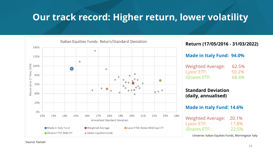## **Our track record: Higher return, lower volatility**



#### **Return (17/05/2016 - 31/03/2022)**

#### **Made in Italy Fund: 94.0%**

| <b>Weighted Average:</b> | 62.5% |
|--------------------------|-------|
| Lyxor ETF:               | 50.2% |
| <b>iShares ETF:</b>      | 68.4% |

#### **Standard Deviation (daily, annualised)**

#### **Made in Italy Fund: 14.6%**

| <b>Weighted Average:</b> | 20.1% |
|--------------------------|-------|
| Lyxor ETF:               | 17.8% |
| <b>iShares ETF:</b>      | 22.5% |

Universe: Italian Equities Funds, Morningstar Italy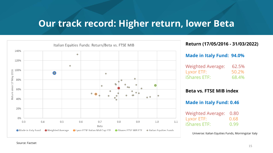## **Our track record: Higher return, lower Beta**



#### **Return (17/05/2016 - 31/03/2022)**

#### **Made in Italy Fund: 94.0%**

| <b>Weighted Average:</b> | 62.5% |
|--------------------------|-------|
| Lyxor ETF:               | 50.2% |
| <b>iShares ETF:</b>      | 68.4% |

#### **Beta vs. FTSE MIB index**

#### **Made in Italy Fund: 0.46**

| Weighted Average: 0.80 |      |
|------------------------|------|
| Lyxor ETF:             | 0.68 |
| <b>iShares ETF:</b>    | 0.99 |

Universe: Italian Equities Funds, Morningstar Italy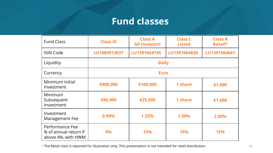## **Fund classes**

| <b>Fund Class</b>                                              | <b>Class IX</b> | <b>Class A</b><br><b>All Investors</b> | <b>Class L</b><br><b>Listed</b> | <b>Class R</b><br>Retail* |  |
|----------------------------------------------------------------|-----------------|----------------------------------------|---------------------------------|---------------------------|--|
| <b>ISIN Code</b>                                               | LU1883913037    | LU1391064745                           | LU1391064828                    | LU1391064661              |  |
| Liquidity                                                      | <b>Daily</b>    |                                        |                                 |                           |  |
| Currency                                                       | <b>Euro</b>     |                                        |                                 |                           |  |
| Minimum Initial<br>Investment                                  | €900,000        | €100,000                               | 1 share                         | €1,000                    |  |
| Minimum<br>Subsequent<br>Investment                            | €90,000         | €25,000                                | 1 share                         | €1,000                    |  |
| Investment<br>Management Fee                                   | 0.90%           | 1.25%                                  | 1.50%                           | 2.00%                     |  |
| Performance Fee<br>% of annual return if<br>above 4%, with HWM | 9%              | <b>15%</b>                             | 15%                             | <b>15%</b>                |  |

\* The Retail class is reported for illustration only. This presentation is not intended for retail distribution. 16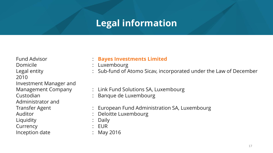## **Legal information**

Domicile : Luxembourg 2010 Investment Manager and Administrator and Liquidity : Daily Currency : EUR Inception date : May 2016

#### Fund Advisor : **Bayes Investments Limited**

- 
- Legal entity **Example 20 Compact 20 Compact 20 Compact 20 Compact 20 Compact 20 Compact 20 Compact 20 Compact 20 Compact 20 Compact 20 Compact 20 Compact 20 Compact 20 Compact 20 Compact 20 Compact 20 Compact 20 Compact 20**
- Management Company : Link Fund Solutions SA, Luxembourg
- Custodian : Banque de Luxembourg
- Transfer Agent : European Fund Administration SA, Luxembourg
- Auditor : Deloitte Luxembourg
	-
	-
	-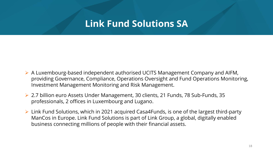## **Link Fund Solutions SA**

- ➢ A Luxembourg-based independent authorised UCITS Management Company and AIFM, providing Governance, Compliance, Operations Oversight and Fund Operations Monitoring, Investment Management Monitoring and Risk Management.
- ➢ 2.7 billion euro Assets Under Management, 30 clients, 21 Funds, 78 Sub-Funds, 35 professionals, 2 offices in Luxembourg and Lugano.
- ➢ Link Fund Solutions, which in 2021 acquired Casa4Funds, is one of the largest third-party ManCos in Europe. Link Fund Solutions is part of Link Group, a global, digitally enabled business connecting millions of people with their financial assets.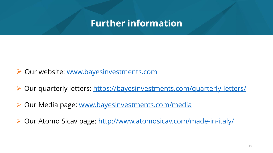## **Further information**

- ➢ Our website: [www.bayesinvestments.com](http://www.bayesinvestments.com/)
- ➢ Our quarterly letters: <https://bayesinvestments.com/quarterly-letters/>
- ➢ Our Media page: [www.bayesinvestments.com/media](http://www.bayesinvestments.com/media)
- Our Atomo Sicav page: <http://www.atomosicav.com/made-in-italy/>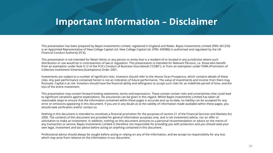## **Important Information – Disclaimer**

This presentation has been prepared by Bayes Investments Limited, registered in England and Wales. Bayes Investments Limited (FRN: 661233) is an Appointed Representative of New College Capital Ltd. New College Capital Ltd. (FRN: 430986) is authorised and regulated by the UK Financial Conduct Authority (FCA).

This presentation is not intended for Retail clients or any person or entity that is a resident of or located in any jurisdiction where such distribution or use would be in contravention of law or regulation. This presentation is intended for Relevant Persons, i.e. those who benefit from an exemption under Rule 4.12 of the FCA's Conduct of Business Sourcebook ("COBS"), or from an exemption under FSMA (Promotion of Collective Investment Schemes) (Exemptions) Order 2001.

Investments are subject to a number of significant risks. Investors should refer to the Atomo Sicav Prospectus, which contains details of these risks. Any past performance contained herein is not an indication of future performance. The value of investments and income from them may fluctuate. Capital is at risk. Investors should have the financial ability and willingness to accept such risks for an indefinite period of time, and the loss of the entire investment.

This presentation may contain forward looking statements, terms and expressions. These contain certain risks and uncertainties that could lead to significant variations against expectations. No assurances can be given in this regard. Whilst Bayes Investments Limited has taken all reasonable steps to ensure that the information contained within these pages is accurate and up-to-date, no liability can be accepted for any error or omissions appearing in this document. If you are in any doubt as to the validity of information made available within these pages, you should seek verification and/or contact us.

Nothing in this document is intended to constitute a financial promotion for the purposes of section 21 of the Financial Services and Markets Act 2000. The contents of this document are provided for general information purposes only, and is not investment advice, nor an offer or solicitation to make an investment. In addition, nothing on this document amounts to a personal recommendation or advice on the merits of any transaction or service. Bayes Investments Limited is therefore not responsible for providing you with protection and you should seek your own legal, investment and tax advice before acting on anything contained in this document.

Professional advice should always be sought before acting or relying on any of the information, and we accept no responsibility for any loss which may arise from reliance on the information in our document.